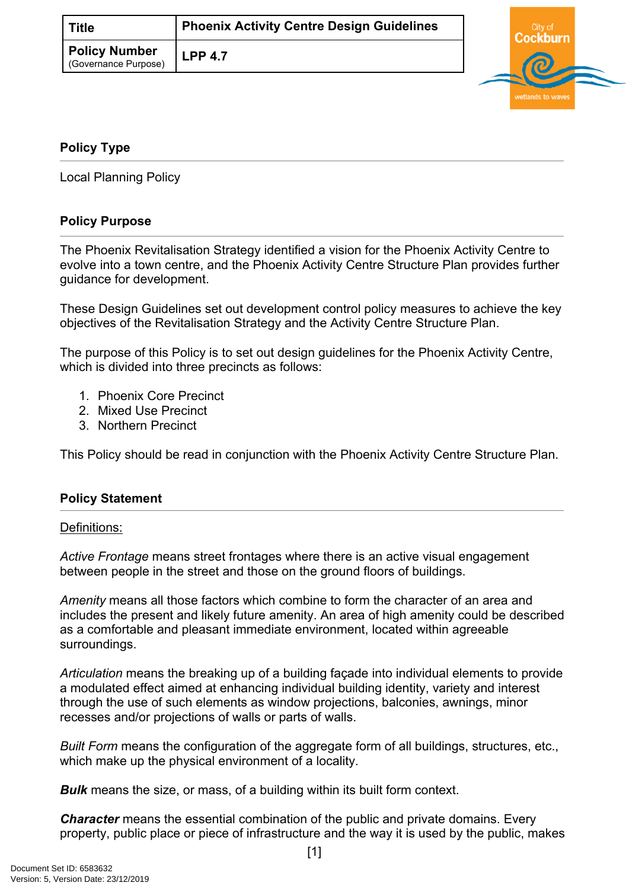| Title                                        | <b>Phoenix Activity Centre Design Guidelines</b> |
|----------------------------------------------|--------------------------------------------------|
| <b>Policy Number</b><br>(Governance Purpose) | $LPP$ 4.7                                        |



## <span id="page-0-0"></span>**[Policy Type](#page-0-0)**

Local Planning Policy

## **Policy Purpose**

The Phoenix Revitalisation Strategy identified a vision for the Phoenix Activity Centre to evolve into a town centre, and the Phoenix Activity Centre Structure Plan provides further guidance for development.

These Design Guidelines set out development control policy measures to achieve the key objectives of the Revitalisation Strategy and the Activity Centre Structure Plan.

The purpose of this Policy is to set out design guidelines for the Phoenix Activity Centre, which is divided into three precincts as follows:

- 1. Phoenix Core Precinct
- 2. Mixed Use Precinct
- 3. Northern Precinct

This Policy should be read in conjunction with the Phoenix Activity Centre Structure Plan.

## **Policy Statement**

## Definitions:

*Active Frontage* means street frontages where there is an active visual engagement between people in the street and those on the ground floors of buildings.

*Amenity* means all those factors which combine to form the character of an area and includes the present and likely future amenity. An area of high amenity could be described as a comfortable and pleasant immediate environment, located within agreeable surroundings.

*Articulation* means the breaking up of a building façade into individual elements to provide a modulated effect aimed at enhancing individual building identity, variety and interest through the use of such elements as window projections, balconies, awnings, minor recesses and/or projections of walls or parts of walls.

*Built Form* means the configuration of the aggregate form of all buildings, structures, etc., which make up the physical environment of a locality.

*Bulk* means the size, or mass, of a building within its built form context.

*Character* means the essential combination of the public and private domains. Every property, public place or piece of infrastructure and the way it is used by the public, makes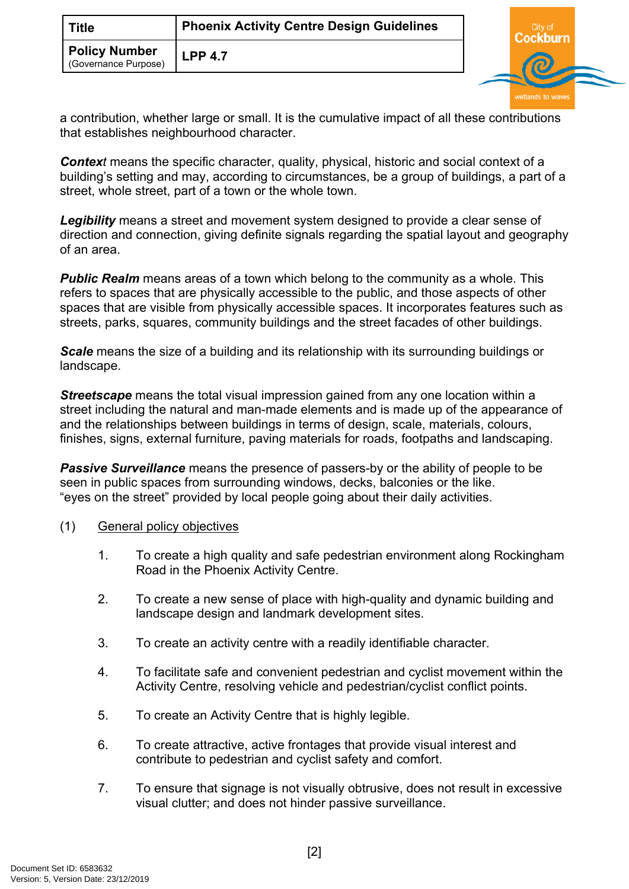|                      | Title                | <b>Phoenix Activity Centre Design Guidelines</b> |
|----------------------|----------------------|--------------------------------------------------|
| (Governance Purpose) | <b>Policy Number</b> | <b>LPP 4.7</b>                                   |



a contribution, whether large or small. It is the cumulative impact of all these contributions that establishes neighbourhood character.

*Context* means the specific character, quality, physical, historic and social context of a building's setting and may, according to circumstances, be a group of buildings, a part of a street, whole street, part of a town or the whole town.

*Legibility* means a street and movement system designed to provide a clear sense of direction and connection, giving definite signals regarding the spatial layout and geography of an area.

**Public Realm** means areas of a town which belong to the community as a whole. This refers to spaces that are physically accessible to the public, and those aspects of other spaces that are visible from physically accessible spaces. It incorporates features such as streets, parks, squares, community buildings and the street facades of other buildings.

*Scale* means the size of a building and its relationship with its surrounding buildings or landscape.

*Streetscape* means the total visual impression gained from any one location within a street including the natural and man-made elements and is made up of the appearance of and the relationships between buildings in terms of design, scale, materials, colours, finishes, signs, external furniture, paving materials for roads, footpaths and landscaping.

**Passive Surveillance** means the presence of passers-by or the ability of people to be seen in public spaces from surrounding windows, decks, balconies or the like. "eyes on the street" provided by local people going about their daily activities.

- (1) General policy objectives
	- 1. To create a high quality and safe pedestrian environment along Rockingham Road in the Phoenix Activity Centre.
	- 2. To create a new sense of place with high-quality and dynamic building and landscape design and landmark development sites.
	- 3. To create an activity centre with a readily identifiable character.
	- 4. To facilitate safe and convenient pedestrian and cyclist movement within the Activity Centre, resolving vehicle and pedestrian/cyclist conflict points.
	- 5. To create an Activity Centre that is highly legible.
	- 6. To create attractive, active frontages that provide visual interest and contribute to pedestrian and cyclist safety and comfort.
	- 7. To ensure that signage is not visually obtrusive, does not result in excessive visual clutter; and does not hinder passive surveillance.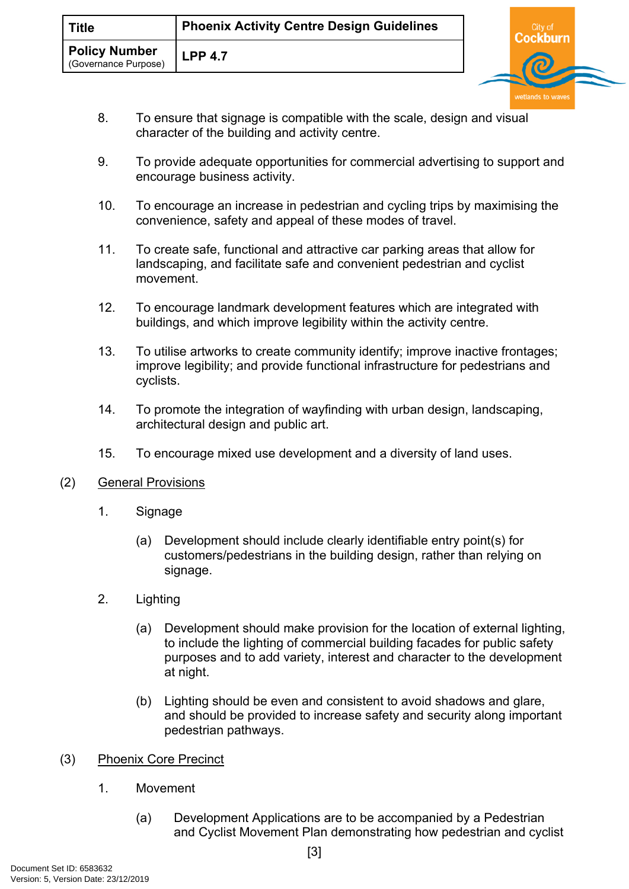- 8. To ensure that signage is compatible with the scale, design and visual character of the building and activity centre.
- 9. To provide adequate opportunities for commercial advertising to support and encourage business activity.
- 10. To encourage an increase in pedestrian and cycling trips by maximising the convenience, safety and appeal of these modes of travel.
- 11. To create safe, functional and attractive car parking areas that allow for landscaping, and facilitate safe and convenient pedestrian and cyclist movement.
- 12. To encourage landmark development features which are integrated with buildings, and which improve legibility within the activity centre.
- 13. To utilise artworks to create community identify; improve inactive frontages; improve legibility; and provide functional infrastructure for pedestrians and cyclists.
- 14. To promote the integration of wayfinding with urban design, landscaping, architectural design and public art.
- 15. To encourage mixed use development and a diversity of land uses.
- (2) General Provisions
	- 1. Signage
		- (a) Development should include clearly identifiable entry point(s) for customers/pedestrians in the building design, rather than relying on signage.
	- 2. Lighting
		- (a) Development should make provision for the location of external lighting, to include the lighting of commercial building facades for public safety purposes and to add variety, interest and character to the development at night.
		- (b) Lighting should be even and consistent to avoid shadows and glare, and should be provided to increase safety and security along important pedestrian pathways.
- (3) Phoenix Core Precinct
	- 1. Movement
		- (a) Development Applications are to be accompanied by a Pedestrian and Cyclist Movement Plan demonstrating how pedestrian and cyclist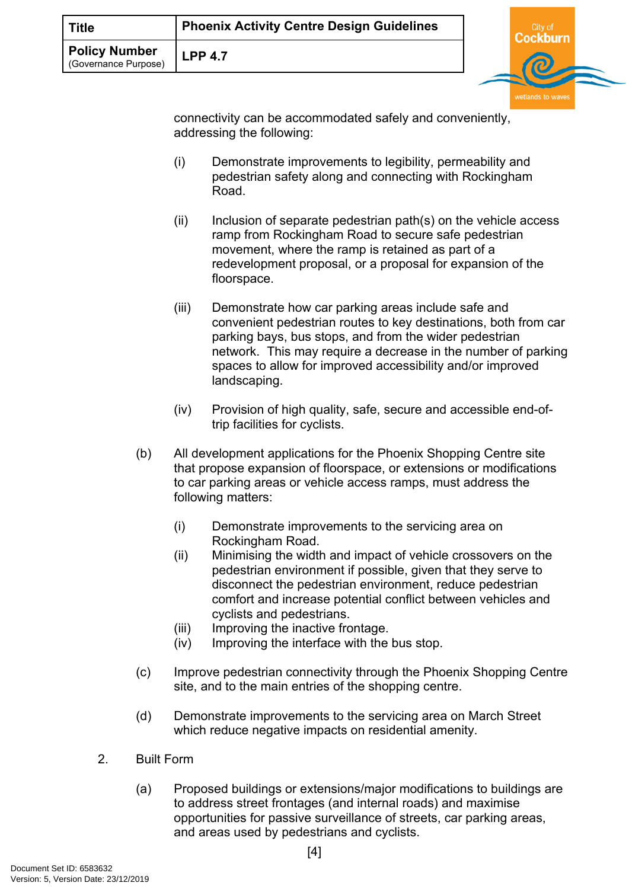| <b>Title</b>                                | <b>Phoenix Activity Centre Design Guidelines</b> |   |
|---------------------------------------------|--------------------------------------------------|---|
| <b>Policy Number</b><br>Governance Purpose) | <b>LPP 4.7</b>                                   | க |

connectivity can be accommodated safely and conveniently, addressing the following:

- (i) Demonstrate improvements to legibility, permeability and pedestrian safety along and connecting with Rockingham Road.
- $(ii)$  Inclusion of separate pedestrian path(s) on the vehicle access ramp from Rockingham Road to secure safe pedestrian movement, where the ramp is retained as part of a redevelopment proposal, or a proposal for expansion of the floorspace.
- (iii) Demonstrate how car parking areas include safe and convenient pedestrian routes to key destinations, both from car parking bays, bus stops, and from the wider pedestrian network. This may require a decrease in the number of parking spaces to allow for improved accessibility and/or improved landscaping.
- (iv) Provision of high quality, safe, secure and accessible end-oftrip facilities for cyclists.
- (b) All development applications for the Phoenix Shopping Centre site that propose expansion of floorspace, or extensions or modifications to car parking areas or vehicle access ramps, must address the following matters:
	- (i) Demonstrate improvements to the servicing area on Rockingham Road.
	- (ii) Minimising the width and impact of vehicle crossovers on the pedestrian environment if possible, given that they serve to disconnect the pedestrian environment, reduce pedestrian comfort and increase potential conflict between vehicles and cyclists and pedestrians.
	- (iii) Improving the inactive frontage.
	- (iv) Improving the interface with the bus stop.
- (c) Improve pedestrian connectivity through the Phoenix Shopping Centre site, and to the main entries of the shopping centre.
- (d) Demonstrate improvements to the servicing area on March Street which reduce negative impacts on residential amenity.
- 2. Built Form
	- (a) Proposed buildings or extensions/major modifications to buildings are to address street frontages (and internal roads) and maximise opportunities for passive surveillance of streets, car parking areas, and areas used by pedestrians and cyclists.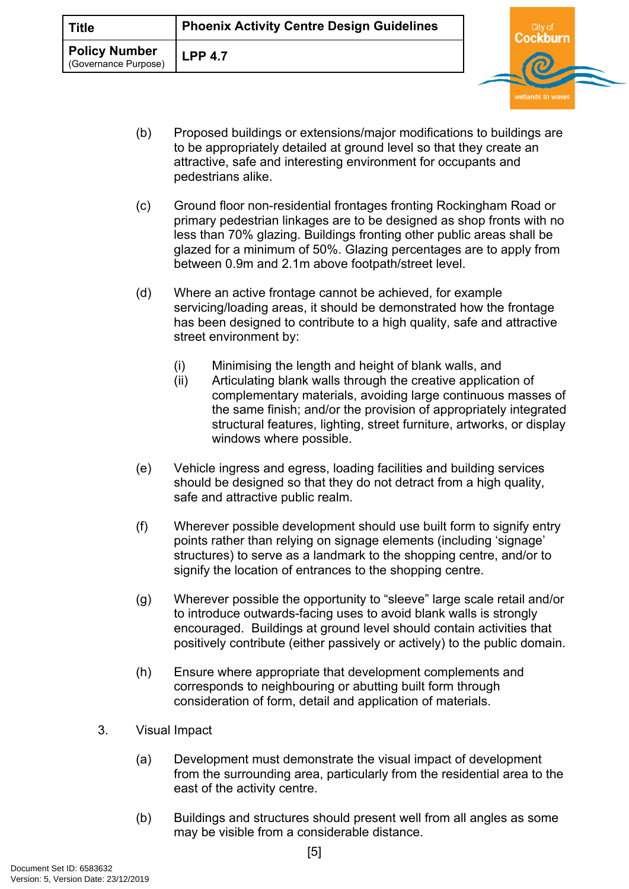| <b>Title</b>                          | <b>Phoenix Activity Centre Design Guidelines</b> | `itv of |
|---------------------------------------|--------------------------------------------------|---------|
| Policy Number<br>(Governance Purpose) | <b>LPP 4.7</b>                                   | Ы       |

(b) Proposed buildings or extensions/major modifications to buildings are to be appropriately detailed at ground level so that they create an attractive, safe and interesting environment for occupants and pedestrians alike.

wetlands to way

- (c) Ground floor non-residential frontages fronting Rockingham Road or primary pedestrian linkages are to be designed as shop fronts with no less than 70% glazing. Buildings fronting other public areas shall be glazed for a minimum of 50%. Glazing percentages are to apply from between 0.9m and 2.1m above footpath/street level.
- (d) Where an active frontage cannot be achieved, for example servicing/loading areas, it should be demonstrated how the frontage has been designed to contribute to a high quality, safe and attractive street environment by:
	- (i) Minimising the length and height of blank walls, and
	- (ii) Articulating blank walls through the creative application of complementary materials, avoiding large continuous masses of the same finish; and/or the provision of appropriately integrated structural features, lighting, street furniture, artworks, or display windows where possible.
- (e) Vehicle ingress and egress, loading facilities and building services should be designed so that they do not detract from a high quality, safe and attractive public realm.
- (f) Wherever possible development should use built form to signify entry points rather than relying on signage elements (including 'signage' structures) to serve as a landmark to the shopping centre, and/or to signify the location of entrances to the shopping centre.
- (g) Wherever possible the opportunity to "sleeve" large scale retail and/or to introduce outwards-facing uses to avoid blank walls is strongly encouraged. Buildings at ground level should contain activities that positively contribute (either passively or actively) to the public domain.
- (h) Ensure where appropriate that development complements and corresponds to neighbouring or abutting built form through consideration of form, detail and application of materials.
- 3. Visual Impact
	- (a) Development must demonstrate the visual impact of development from the surrounding area, particularly from the residential area to the east of the activity centre.
	- (b) Buildings and structures should present well from all angles as some may be visible from a considerable distance.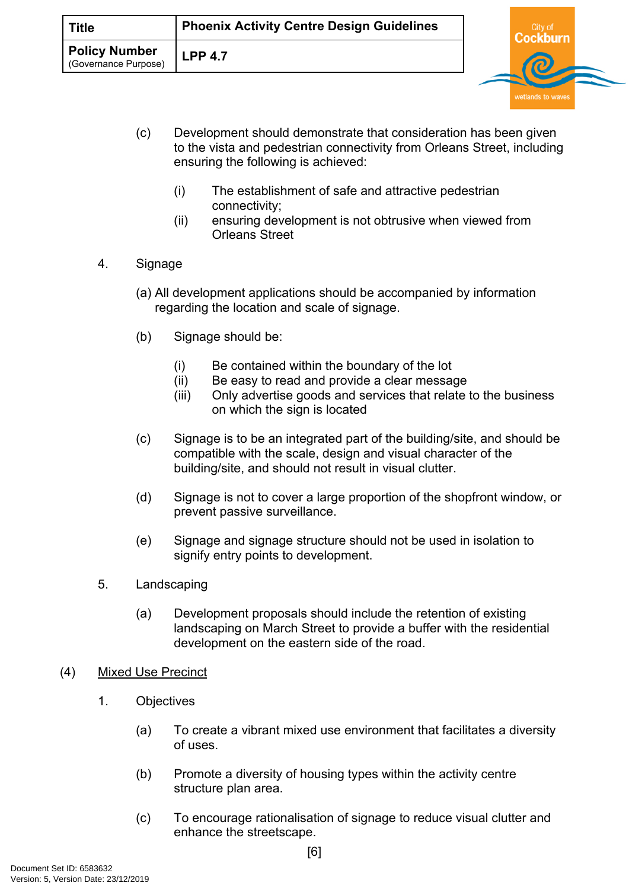| <b>Title</b>                                 | <b>Phoenix Activity Centre Design Guidelines</b> |  |  |
|----------------------------------------------|--------------------------------------------------|--|--|
| <b>Policy Number</b><br>(Governance Purpose) | <b>LPP 4.7</b>                                   |  |  |

(c) Development should demonstrate that consideration has been given to the vista and pedestrian connectivity from Orleans Street, including ensuring the following is achieved:

wetlands to wave

- (i) The establishment of safe and attractive pedestrian connectivity;
- (ii) ensuring development is not obtrusive when viewed from Orleans Street
- 4. Signage
	- (a) All development applications should be accompanied by information regarding the location and scale of signage.
	- (b) Signage should be:
		- (i) Be contained within the boundary of the lot
		- (ii) Be easy to read and provide a clear message
		- (iii) Only advertise goods and services that relate to the business on which the sign is located
	- (c) Signage is to be an integrated part of the building/site, and should be compatible with the scale, design and visual character of the building/site, and should not result in visual clutter.
	- (d) Signage is not to cover a large proportion of the shopfront window, or prevent passive surveillance.
	- (e) Signage and signage structure should not be used in isolation to signify entry points to development.
- 5. Landscaping
	- (a) Development proposals should include the retention of existing landscaping on March Street to provide a buffer with the residential development on the eastern side of the road.
- (4) Mixed Use Precinct
	- 1. Objectives
		- (a) To create a vibrant mixed use environment that facilitates a diversity of uses.
		- (b) Promote a diversity of housing types within the activity centre structure plan area.
		- (c) To encourage rationalisation of signage to reduce visual clutter and enhance the streetscape.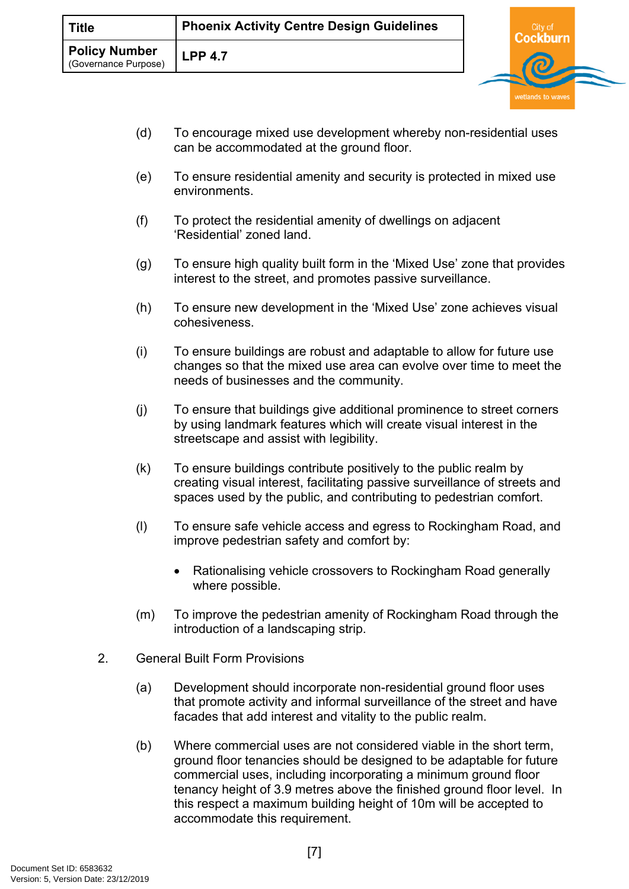| <b>Title</b>                                 | <b>Phoenix Activity Centre Design Guidelines</b> |  |
|----------------------------------------------|--------------------------------------------------|--|
| <b>Policy Number</b><br>(Governance Purpose) | <b>LPP 4.7</b>                                   |  |

- (d) To encourage mixed use development whereby non-residential uses can be accommodated at the ground floor.
- (e) To ensure residential amenity and security is protected in mixed use environments.
- (f) To protect the residential amenity of dwellings on adjacent 'Residential' zoned land.
- (g) To ensure high quality built form in the 'Mixed Use' zone that provides interest to the street, and promotes passive surveillance.
- (h) To ensure new development in the 'Mixed Use' zone achieves visual cohesiveness.
- (i) To ensure buildings are robust and adaptable to allow for future use changes so that the mixed use area can evolve over time to meet the needs of businesses and the community.
- (j) To ensure that buildings give additional prominence to street corners by using landmark features which will create visual interest in the streetscape and assist with legibility.
- (k) To ensure buildings contribute positively to the public realm by creating visual interest, facilitating passive surveillance of streets and spaces used by the public, and contributing to pedestrian comfort.
- (l) To ensure safe vehicle access and egress to Rockingham Road, and improve pedestrian safety and comfort by:
	- Rationalising vehicle crossovers to Rockingham Road generally where possible.
- (m) To improve the pedestrian amenity of Rockingham Road through the introduction of a landscaping strip.
- 2. General Built Form Provisions
	- (a) Development should incorporate non-residential ground floor uses that promote activity and informal surveillance of the street and have facades that add interest and vitality to the public realm.
	- (b) Where commercial uses are not considered viable in the short term, ground floor tenancies should be designed to be adaptable for future commercial uses, including incorporating a minimum ground floor tenancy height of 3.9 metres above the finished ground floor level. In this respect a maximum building height of 10m will be accepted to accommodate this requirement.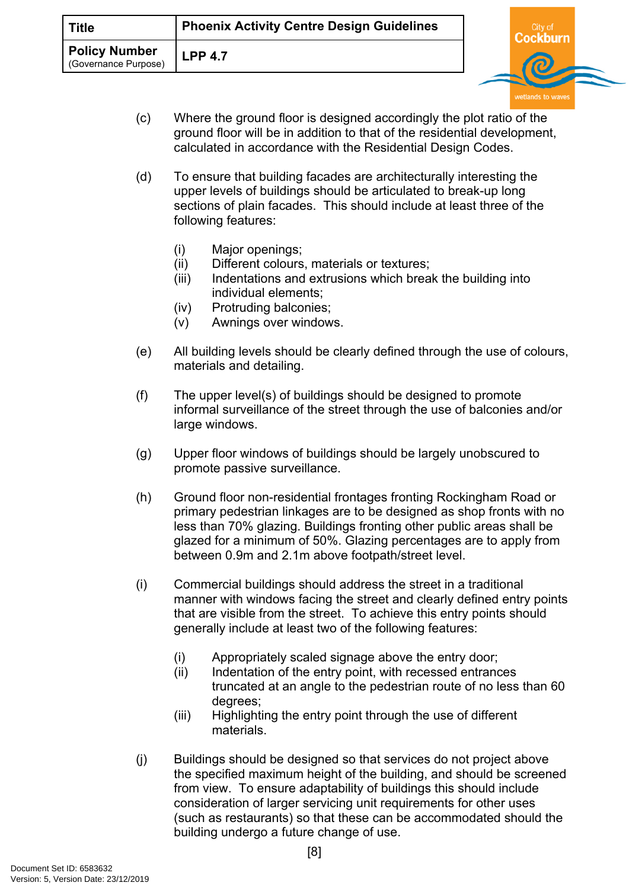| Title                                        | <b>Phoenix Activity Centre Design Guidelines</b> |   |  |
|----------------------------------------------|--------------------------------------------------|---|--|
| <b>Policy Number</b><br>(Governance Purpose) | $LPP$ 4.7                                        | ක |  |

- (c) Where the ground floor is designed accordingly the plot ratio of the ground floor will be in addition to that of the residential development, calculated in accordance with the Residential Design Codes.
- (d) To ensure that building facades are architecturally interesting the upper levels of buildings should be articulated to break-up long sections of plain facades. This should include at least three of the following features:
	- (i) Major openings;
	- (ii) Different colours, materials or textures;
	- (iii) Indentations and extrusions which break the building into individual elements;
	- (iv) Protruding balconies;
	- (v) Awnings over windows.
- (e) All building levels should be clearly defined through the use of colours, materials and detailing.
- (f) The upper level(s) of buildings should be designed to promote informal surveillance of the street through the use of balconies and/or large windows.
- (g) Upper floor windows of buildings should be largely unobscured to promote passive surveillance.
- (h) Ground floor non-residential frontages fronting Rockingham Road or primary pedestrian linkages are to be designed as shop fronts with no less than 70% glazing. Buildings fronting other public areas shall be glazed for a minimum of 50%. Glazing percentages are to apply from between 0.9m and 2.1m above footpath/street level.
- (i) Commercial buildings should address the street in a traditional manner with windows facing the street and clearly defined entry points that are visible from the street. To achieve this entry points should generally include at least two of the following features:
	- (i) Appropriately scaled signage above the entry door;
	- (ii) Indentation of the entry point, with recessed entrances truncated at an angle to the pedestrian route of no less than 60 degrees;
	- (iii) Highlighting the entry point through the use of different materials.
- (j) Buildings should be designed so that services do not project above the specified maximum height of the building, and should be screened from view. To ensure adaptability of buildings this should include consideration of larger servicing unit requirements for other uses (such as restaurants) so that these can be accommodated should the building undergo a future change of use.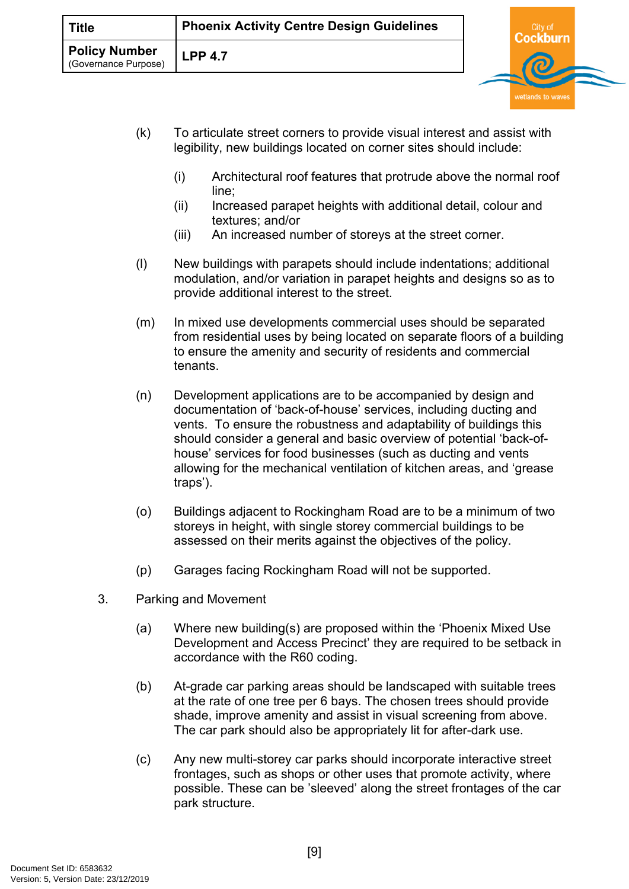| <b>Title</b>                                 | <b>Phoenix Activity Centre Design Guidelines</b> |  |  |
|----------------------------------------------|--------------------------------------------------|--|--|
| <b>Policy Number</b><br>(Governance Purpose) | <b>LPP 4.7</b>                                   |  |  |

- (k) To articulate street corners to provide visual interest and assist with legibility, new buildings located on corner sites should include:
	- (i) Architectural roof features that protrude above the normal roof line;

wetlands to wav

- (ii) Increased parapet heights with additional detail, colour and textures; and/or
- (iii) An increased number of storeys at the street corner.
- (l) New buildings with parapets should include indentations; additional modulation, and/or variation in parapet heights and designs so as to provide additional interest to the street.
- (m) In mixed use developments commercial uses should be separated from residential uses by being located on separate floors of a building to ensure the amenity and security of residents and commercial tenants.
- (n) Development applications are to be accompanied by design and documentation of 'back-of-house' services, including ducting and vents. To ensure the robustness and adaptability of buildings this should consider a general and basic overview of potential 'back-ofhouse' services for food businesses (such as ducting and vents allowing for the mechanical ventilation of kitchen areas, and 'grease traps').
- (o) Buildings adjacent to Rockingham Road are to be a minimum of two storeys in height, with single storey commercial buildings to be assessed on their merits against the objectives of the policy.
- (p) Garages facing Rockingham Road will not be supported.
- 3. Parking and Movement
	- (a) Where new building(s) are proposed within the 'Phoenix Mixed Use Development and Access Precinct' they are required to be setback in accordance with the R60 coding.
	- (b) At-grade car parking areas should be landscaped with suitable trees at the rate of one tree per 6 bays. The chosen trees should provide shade, improve amenity and assist in visual screening from above. The car park should also be appropriately lit for after-dark use.
	- (c) Any new multi-storey car parks should incorporate interactive street frontages, such as shops or other uses that promote activity, where possible. These can be 'sleeved' along the street frontages of the car park structure.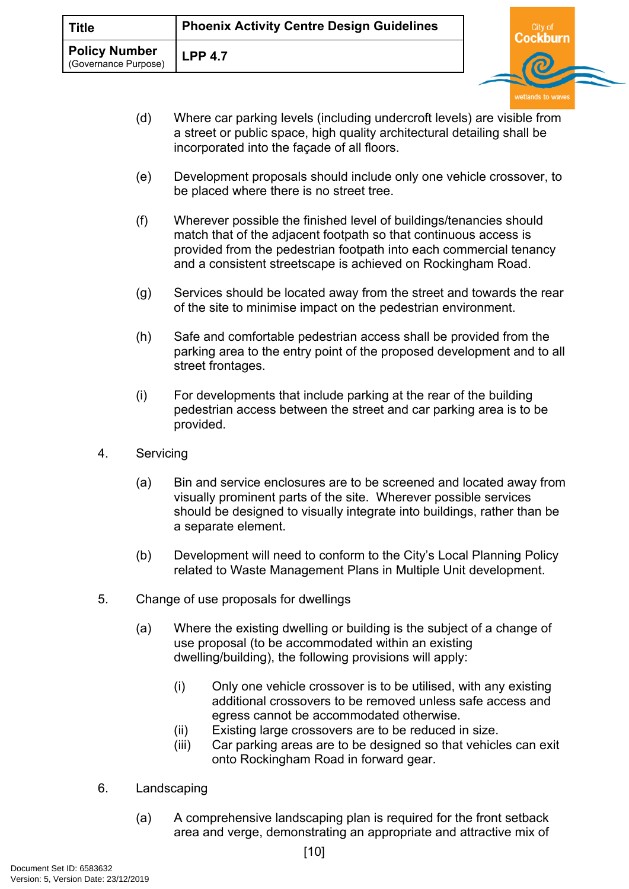| Title                                        | <b>Phoenix Activity Centre Design Guidelines</b> |  |
|----------------------------------------------|--------------------------------------------------|--|
| <b>Policy Number</b><br>(Governance Purpose) | <b>LPP 4.7</b>                                   |  |

(d) Where car parking levels (including undercroft levels) are visible from a street or public space, high quality architectural detailing shall be incorporated into the façade of all floors.

wetlands to wav

- (e) Development proposals should include only one vehicle crossover, to be placed where there is no street tree.
- (f) Wherever possible the finished level of buildings/tenancies should match that of the adjacent footpath so that continuous access is provided from the pedestrian footpath into each commercial tenancy and a consistent streetscape is achieved on Rockingham Road.
- (g) Services should be located away from the street and towards the rear of the site to minimise impact on the pedestrian environment.
- (h) Safe and comfortable pedestrian access shall be provided from the parking area to the entry point of the proposed development and to all street frontages.
- (i) For developments that include parking at the rear of the building pedestrian access between the street and car parking area is to be provided.
- 4. Servicing
	- (a) Bin and service enclosures are to be screened and located away from visually prominent parts of the site. Wherever possible services should be designed to visually integrate into buildings, rather than be a separate element.
	- (b) Development will need to conform to the City's Local Planning Policy related to Waste Management Plans in Multiple Unit development.
- 5. Change of use proposals for dwellings
	- (a) Where the existing dwelling or building is the subject of a change of use proposal (to be accommodated within an existing dwelling/building), the following provisions will apply:
		- (i) Only one vehicle crossover is to be utilised, with any existing additional crossovers to be removed unless safe access and egress cannot be accommodated otherwise.
		- (ii) Existing large crossovers are to be reduced in size.
		- (iii) Car parking areas are to be designed so that vehicles can exit onto Rockingham Road in forward gear.
- 6. Landscaping
	- (a) A comprehensive landscaping plan is required for the front setback area and verge, demonstrating an appropriate and attractive mix of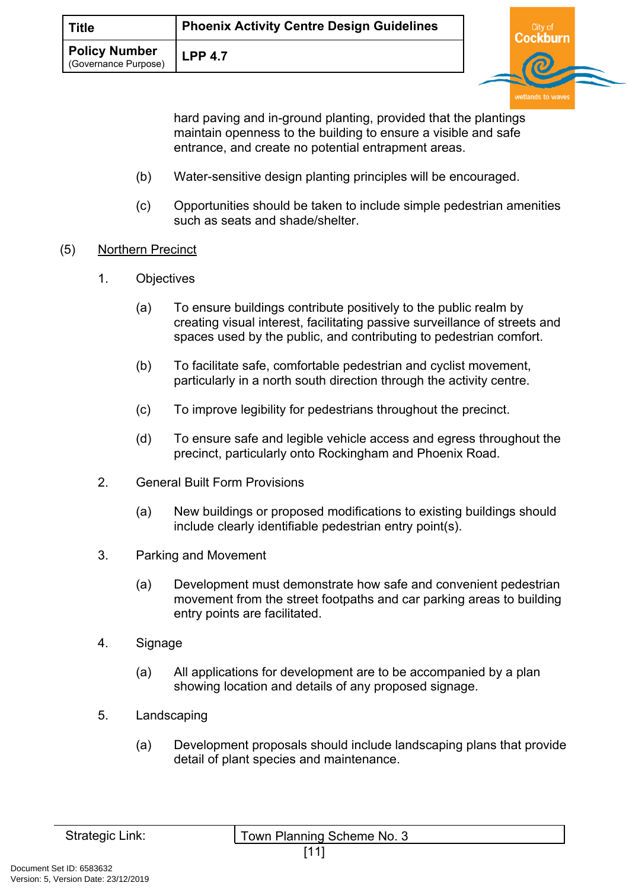| <b>Title</b>                                 | Phoenix Activity Centre Design Guidelines |  |
|----------------------------------------------|-------------------------------------------|--|
| <b>Policy Number</b><br>(Governance Purpose) | <b>LPP 4.7</b>                            |  |

hard paving and in-ground planting, provided that the plantings maintain openness to the building to ensure a visible and safe entrance, and create no potential entrapment areas.

burn

- (b) Water-sensitive design planting principles will be encouraged.
- (c) Opportunities should be taken to include simple pedestrian amenities such as seats and shade/shelter.
- (5) Northern Precinct
	- 1. Objectives
		- (a) To ensure buildings contribute positively to the public realm by creating visual interest, facilitating passive surveillance of streets and spaces used by the public, and contributing to pedestrian comfort.
		- (b) To facilitate safe, comfortable pedestrian and cyclist movement, particularly in a north south direction through the activity centre.
		- (c) To improve legibility for pedestrians throughout the precinct.
		- (d) To ensure safe and legible vehicle access and egress throughout the precinct, particularly onto Rockingham and Phoenix Road.
	- 2. General Built Form Provisions
		- (a) New buildings or proposed modifications to existing buildings should include clearly identifiable pedestrian entry point(s).
	- 3. Parking and Movement
		- (a) Development must demonstrate how safe and convenient pedestrian movement from the street footpaths and car parking areas to building entry points are facilitated.
	- 4. Signage
		- (a) All applications for development are to be accompanied by a plan showing location and details of any proposed signage.
	- 5. Landscaping
		- (a) Development proposals should include landscaping plans that provide detail of plant species and maintenance.

| Strategic Link: |  |  |
|-----------------|--|--|
|                 |  |  |